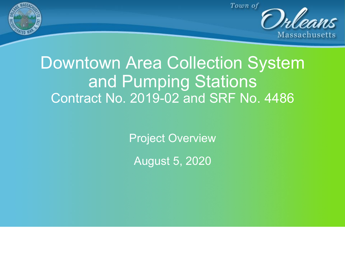



# Downtown Area Collection System and Pumping Stations Contract No. 2019-02 and SRF No. 4486

Project Overview

August 5, 2020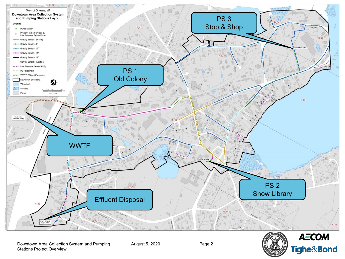

Downtown Area Collection System and Pumping **August 5, 2020** Stations Project Overview



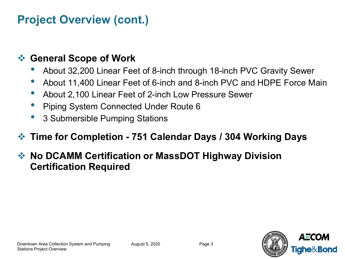# **Project Overview (cont.)**

#### **General Scope of Work**

- About 32,200 Linear Feet of 8-inch through 18-inch PVC Gravity Sewer
- About 11,400 Linear Feet of 6-inch and 8-inch PVC and HDPE Force Main
- About 2,100 Linear Feet of 2-inch Low Pressure Sewer
- Piping System Connected Under Route 6
- 3 Submersible Pumping Stations

# **Time for Completion - 751 Calendar Days / 304 Working Days**

 **No DCAMM Certification or MassDOT Highway Division Certification Required**

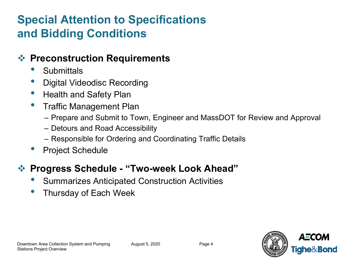#### **Preconstruction Requirements**

- **Submittals**
- Digital Videodisc Recording
- Health and Safety Plan
- Traffic Management Plan
	- Prepare and Submit to Town, Engineer and MassDOT for Review and Approval
	- Detours and Road Accessibility
	- Responsible for Ordering and Coordinating Traffic Details
- Project Schedule

### **Progress Schedule - "Two-week Look Ahead"**

- Summarizes Anticipated Construction Activities
- Thursday of Each Week

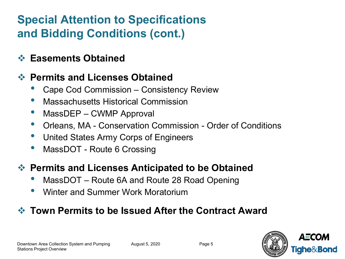### **Easements Obtained**

### **Permits and Licenses Obtained**

- Cape Cod Commission Consistency Review
- Massachusetts Historical Commission
- MassDEP CWMP Approval
- Orleans, MA Conservation Commission Order of Conditions
- United States Army Corps of Engineers
- MassDOT Route 6 Crossing

### **Permits and Licenses Anticipated to be Obtained**

- MassDOT Route 6A and Route 28 Road Opening
- Winter and Summer Work Moratorium

### **Town Permits to be Issued After the Contract Award**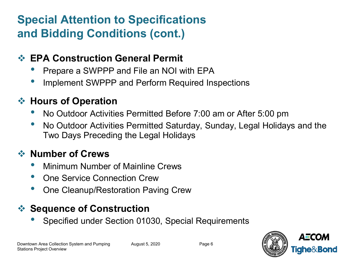### **EPA Construction General Permit**

- Prepare a SWPPP and File an NOI with EPA
- Implement SWPPP and Perform Required Inspections

### **❖ Hours of Operation**

- No Outdoor Activities Permitted Before 7:00 am or After 5:00 pm
- No Outdoor Activities Permitted Saturday, Sunday, Legal Holidays and the Two Days Preceding the Legal Holidays

### **Number of Crews**

- Minimum Number of Mainline Crews
- One Service Connection Crew
- One Cleanup/Restoration Paving Crew

# **❖ Sequence of Construction**

• Specified under Section 01030, Special Requirements



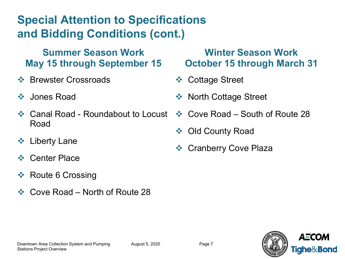### **Summer Season Work May 15 through September 15**

- ❖ Brewster Crossroads
- ❖ Jones Road
- ❖ Canal Road Roundabout to Locust Road
- **❖** Liberty Lane
- ❖ Center Place
- $\div$  Route 6 Crossing
- Cove Road North of Route 28

#### **Winter Season Work October 15 through March 31**

- **❖** Cottage Street
- **❖ North Cottage Street**
- Cove Road South of Route 28
- **❖ Old County Road**
- **❖ Cranberry Cove Plaza**

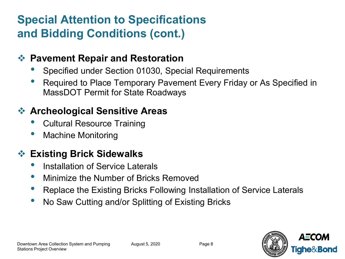#### **Pavement Repair and Restoration**

- Specified under Section 01030, Special Requirements
- Required to Place Temporary Pavement Every Friday or As Specified in MassDOT Permit for State Roadways

# **Archeological Sensitive Areas**

- Cultural Resource Training
- Machine Monitoring

# **Existing Brick Sidewalks**

- Installation of Service Laterals
- Minimize the Number of Bricks Removed
- Replace the Existing Bricks Following Installation of Service Laterals
- No Saw Cutting and/or Splitting of Existing Bricks

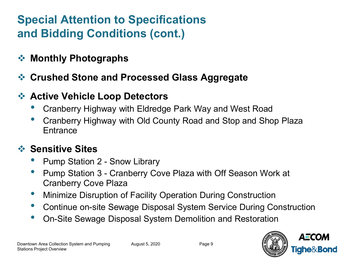- **Monthly Photographs**
- **Crushed Stone and Processed Glass Aggregate**

#### **Active Vehicle Loop Detectors**

- Cranberry Highway with Eldredge Park Way and West Road
- Cranberry Highway with Old County Road and Stop and Shop Plaza **Entrance**

#### *<b>❖* Sensitive Sites

- Pump Station 2 Snow Library
- Pump Station 3 Cranberry Cove Plaza with Off Season Work at Cranberry Cove Plaza
- Minimize Disruption of Facility Operation During Construction
- Continue on-site Sewage Disposal System Service During Construction
- On-Site Sewage Disposal System Demolition and Restoration